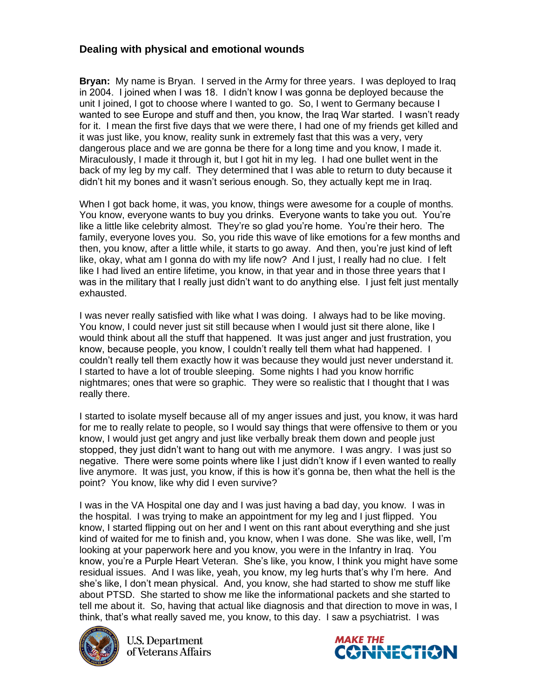## **Dealing with physical and emotional wounds**

**Bryan:** My name is Bryan. I served in the Army for three years. I was deployed to Iraq in 2004. I joined when I was 18. I didn't know I was gonna be deployed because the unit I joined, I got to choose where I wanted to go. So, I went to Germany because I wanted to see Europe and stuff and then, you know, the Iraq War started. I wasn't ready for it. I mean the first five days that we were there, I had one of my friends get killed and it was just like, you know, reality sunk in extremely fast that this was a very, very dangerous place and we are gonna be there for a long time and you know, I made it. Miraculously, I made it through it, but I got hit in my leg. I had one bullet went in the back of my leg by my calf. They determined that I was able to return to duty because it didn't hit my bones and it wasn't serious enough. So, they actually kept me in Iraq.

When I got back home, it was, you know, things were awesome for a couple of months. You know, everyone wants to buy you drinks. Everyone wants to take you out. You're like a little like celebrity almost. They're so glad you're home. You're their hero. The family, everyone loves you. So, you ride this wave of like emotions for a few months and then, you know, after a little while, it starts to go away. And then, you're just kind of left like, okay, what am I gonna do with my life now? And I just, I really had no clue. I felt like I had lived an entire lifetime, you know, in that year and in those three years that I was in the military that I really just didn't want to do anything else. I just felt just mentally exhausted.

I was never really satisfied with like what I was doing. I always had to be like moving. You know, I could never just sit still because when I would just sit there alone, like I would think about all the stuff that happened. It was just anger and just frustration, you know, because people, you know, I couldn't really tell them what had happened. I couldn't really tell them exactly how it was because they would just never understand it. I started to have a lot of trouble sleeping. Some nights I had you know horrific nightmares; ones that were so graphic. They were so realistic that I thought that I was really there.

I started to isolate myself because all of my anger issues and just, you know, it was hard for me to really relate to people, so I would say things that were offensive to them or you know, I would just get angry and just like verbally break them down and people just stopped, they just didn't want to hang out with me anymore. I was angry. I was just so negative. There were some points where like I just didn't know if I even wanted to really live anymore. It was just, you know, if this is how it's gonna be, then what the hell is the point? You know, like why did I even survive?

I was in the VA Hospital one day and I was just having a bad day, you know. I was in the hospital. I was trying to make an appointment for my leg and I just flipped. You know, I started flipping out on her and I went on this rant about everything and she just kind of waited for me to finish and, you know, when I was done. She was like, well, I'm looking at your paperwork here and you know, you were in the Infantry in Iraq. You know, you're a Purple Heart Veteran. She's like, you know, I think you might have some residual issues. And I was like, yeah, you know, my leg hurts that's why I'm here. And she's like, I don't mean physical. And, you know, she had started to show me stuff like about PTSD. She started to show me like the informational packets and she started to tell me about it. So, having that actual like diagnosis and that direction to move in was, I think, that's what really saved me, you know, to this day. I saw a psychiatrist. I was



**U.S. Department** of Veterans Affairs